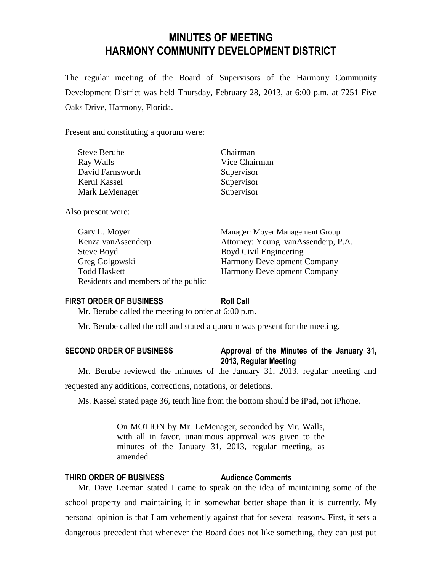# **MINUTES OF MEETING HARMONY COMMUNITY DEVELOPMENT DISTRICT**

The regular meeting of the Board of Supervisors of the Harmony Community Development District was held Thursday, February 28, 2013, at 6:00 p.m. at 7251 Five Oaks Drive, Harmony, Florida.

Present and constituting a quorum were:

| <b>Steve Berube</b> | Chairman      |
|---------------------|---------------|
| Ray Walls           | Vice Chairman |
| David Farnsworth    | Supervisor    |
| Kerul Kassel        | Supervisor    |
| Mark LeMenager      | Supervisor    |
|                     |               |

Also present were:

Gary L. Moyer Manager: Moyer Management Group Kenza vanAssenderp Attorney: Young vanAssenderp, P.A. Steve Boyd Civil Engineering Greg Golgowski Harmony Development Company Todd Haskett Harmony Development Company Residents and members of the public

# **FIRST ORDER OF BUSINESS Roll Call**

Mr. Berube called the meeting to order at 6:00 p.m.

Mr. Berube called the roll and stated a quorum was present for the meeting.

# **SECOND ORDER OF BUSINESS Approval of the Minutes of the January 31, 2013, Regular Meeting**

Mr. Berube reviewed the minutes of the January 31, 2013, regular meeting and requested any additions, corrections, notations, or deletions.

Ms. Kassel stated page 36, tenth line from the bottom should be iPad, not iPhone.

On MOTION by Mr. LeMenager, seconded by Mr. Walls, with all in favor, unanimous approval was given to the minutes of the January 31, 2013, regular meeting, as amended.

# **THIRD ORDER OF BUSINESS Audience Comments**

Mr. Dave Leeman stated I came to speak on the idea of maintaining some of the school property and maintaining it in somewhat better shape than it is currently. My personal opinion is that I am vehemently against that for several reasons. First, it sets a dangerous precedent that whenever the Board does not like something, they can just put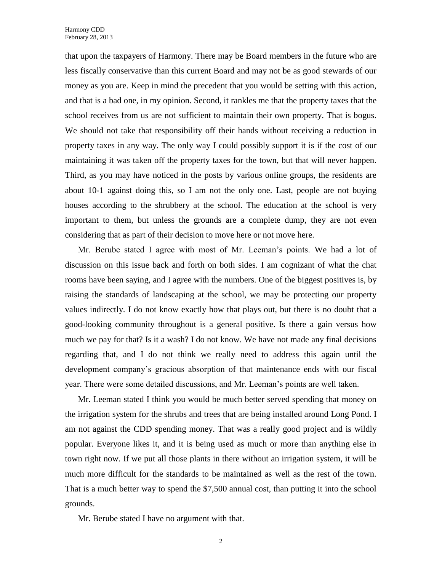that upon the taxpayers of Harmony. There may be Board members in the future who are less fiscally conservative than this current Board and may not be as good stewards of our money as you are. Keep in mind the precedent that you would be setting with this action, and that is a bad one, in my opinion. Second, it rankles me that the property taxes that the school receives from us are not sufficient to maintain their own property. That is bogus. We should not take that responsibility off their hands without receiving a reduction in property taxes in any way. The only way I could possibly support it is if the cost of our maintaining it was taken off the property taxes for the town, but that will never happen. Third, as you may have noticed in the posts by various online groups, the residents are about 10-1 against doing this, so I am not the only one. Last, people are not buying houses according to the shrubbery at the school. The education at the school is very important to them, but unless the grounds are a complete dump, they are not even considering that as part of their decision to move here or not move here.

Mr. Berube stated I agree with most of Mr. Leeman's points. We had a lot of discussion on this issue back and forth on both sides. I am cognizant of what the chat rooms have been saying, and I agree with the numbers. One of the biggest positives is, by raising the standards of landscaping at the school, we may be protecting our property values indirectly. I do not know exactly how that plays out, but there is no doubt that a good-looking community throughout is a general positive. Is there a gain versus how much we pay for that? Is it a wash? I do not know. We have not made any final decisions regarding that, and I do not think we really need to address this again until the development company's gracious absorption of that maintenance ends with our fiscal year. There were some detailed discussions, and Mr. Leeman's points are well taken.

Mr. Leeman stated I think you would be much better served spending that money on the irrigation system for the shrubs and trees that are being installed around Long Pond. I am not against the CDD spending money. That was a really good project and is wildly popular. Everyone likes it, and it is being used as much or more than anything else in town right now. If we put all those plants in there without an irrigation system, it will be much more difficult for the standards to be maintained as well as the rest of the town. That is a much better way to spend the \$7,500 annual cost, than putting it into the school grounds.

Mr. Berube stated I have no argument with that.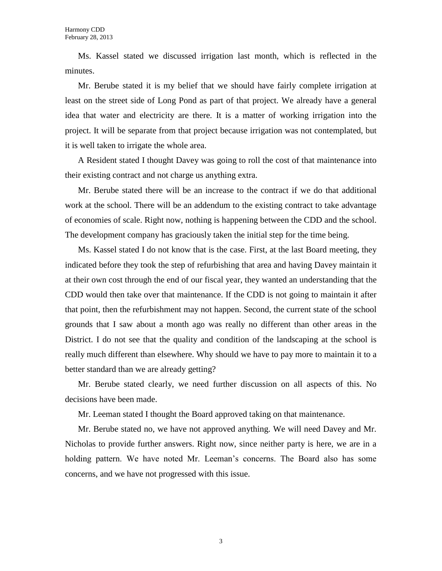Ms. Kassel stated we discussed irrigation last month, which is reflected in the minutes.

Mr. Berube stated it is my belief that we should have fairly complete irrigation at least on the street side of Long Pond as part of that project. We already have a general idea that water and electricity are there. It is a matter of working irrigation into the project. It will be separate from that project because irrigation was not contemplated, but it is well taken to irrigate the whole area.

A Resident stated I thought Davey was going to roll the cost of that maintenance into their existing contract and not charge us anything extra.

Mr. Berube stated there will be an increase to the contract if we do that additional work at the school. There will be an addendum to the existing contract to take advantage of economies of scale. Right now, nothing is happening between the CDD and the school. The development company has graciously taken the initial step for the time being.

Ms. Kassel stated I do not know that is the case. First, at the last Board meeting, they indicated before they took the step of refurbishing that area and having Davey maintain it at their own cost through the end of our fiscal year, they wanted an understanding that the CDD would then take over that maintenance. If the CDD is not going to maintain it after that point, then the refurbishment may not happen. Second, the current state of the school grounds that I saw about a month ago was really no different than other areas in the District. I do not see that the quality and condition of the landscaping at the school is really much different than elsewhere. Why should we have to pay more to maintain it to a better standard than we are already getting?

Mr. Berube stated clearly, we need further discussion on all aspects of this. No decisions have been made.

Mr. Leeman stated I thought the Board approved taking on that maintenance.

Mr. Berube stated no, we have not approved anything. We will need Davey and Mr. Nicholas to provide further answers. Right now, since neither party is here, we are in a holding pattern. We have noted Mr. Leeman's concerns. The Board also has some concerns, and we have not progressed with this issue.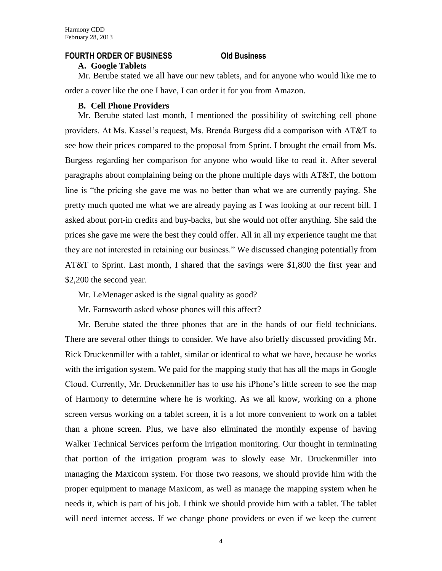#### **FOURTH ORDER OF BUSINESS Old Business**

#### **A. Google Tablets**

Mr. Berube stated we all have our new tablets, and for anyone who would like me to order a cover like the one I have, I can order it for you from Amazon.

### **B. Cell Phone Providers**

Mr. Berube stated last month, I mentioned the possibility of switching cell phone providers. At Ms. Kassel's request, Ms. Brenda Burgess did a comparison with AT&T to see how their prices compared to the proposal from Sprint. I brought the email from Ms. Burgess regarding her comparison for anyone who would like to read it. After several paragraphs about complaining being on the phone multiple days with AT&T, the bottom line is "the pricing she gave me was no better than what we are currently paying. She pretty much quoted me what we are already paying as I was looking at our recent bill. I asked about port-in credits and buy-backs, but she would not offer anything. She said the prices she gave me were the best they could offer. All in all my experience taught me that they are not interested in retaining our business." We discussed changing potentially from AT&T to Sprint. Last month, I shared that the savings were \$1,800 the first year and \$2,200 the second year.

Mr. LeMenager asked is the signal quality as good?

Mr. Farnsworth asked whose phones will this affect?

Mr. Berube stated the three phones that are in the hands of our field technicians. There are several other things to consider. We have also briefly discussed providing Mr. Rick Druckenmiller with a tablet, similar or identical to what we have, because he works with the irrigation system. We paid for the mapping study that has all the maps in Google Cloud. Currently, Mr. Druckenmiller has to use his iPhone's little screen to see the map of Harmony to determine where he is working. As we all know, working on a phone screen versus working on a tablet screen, it is a lot more convenient to work on a tablet than a phone screen. Plus, we have also eliminated the monthly expense of having Walker Technical Services perform the irrigation monitoring. Our thought in terminating that portion of the irrigation program was to slowly ease Mr. Druckenmiller into managing the Maxicom system. For those two reasons, we should provide him with the proper equipment to manage Maxicom, as well as manage the mapping system when he needs it, which is part of his job. I think we should provide him with a tablet. The tablet will need internet access. If we change phone providers or even if we keep the current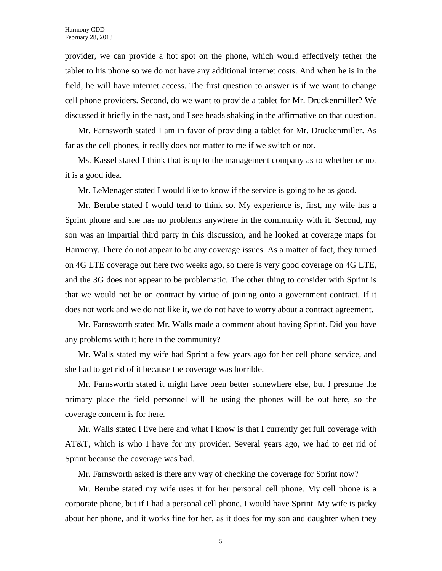provider, we can provide a hot spot on the phone, which would effectively tether the tablet to his phone so we do not have any additional internet costs. And when he is in the field, he will have internet access. The first question to answer is if we want to change cell phone providers. Second, do we want to provide a tablet for Mr. Druckenmiller? We discussed it briefly in the past, and I see heads shaking in the affirmative on that question.

Mr. Farnsworth stated I am in favor of providing a tablet for Mr. Druckenmiller. As far as the cell phones, it really does not matter to me if we switch or not.

Ms. Kassel stated I think that is up to the management company as to whether or not it is a good idea.

Mr. LeMenager stated I would like to know if the service is going to be as good.

Mr. Berube stated I would tend to think so. My experience is, first, my wife has a Sprint phone and she has no problems anywhere in the community with it. Second, my son was an impartial third party in this discussion, and he looked at coverage maps for Harmony. There do not appear to be any coverage issues. As a matter of fact, they turned on 4G LTE coverage out here two weeks ago, so there is very good coverage on 4G LTE, and the 3G does not appear to be problematic. The other thing to consider with Sprint is that we would not be on contract by virtue of joining onto a government contract. If it does not work and we do not like it, we do not have to worry about a contract agreement.

Mr. Farnsworth stated Mr. Walls made a comment about having Sprint. Did you have any problems with it here in the community?

Mr. Walls stated my wife had Sprint a few years ago for her cell phone service, and she had to get rid of it because the coverage was horrible.

Mr. Farnsworth stated it might have been better somewhere else, but I presume the primary place the field personnel will be using the phones will be out here, so the coverage concern is for here.

Mr. Walls stated I live here and what I know is that I currently get full coverage with AT&T, which is who I have for my provider. Several years ago, we had to get rid of Sprint because the coverage was bad.

Mr. Farnsworth asked is there any way of checking the coverage for Sprint now?

Mr. Berube stated my wife uses it for her personal cell phone. My cell phone is a corporate phone, but if I had a personal cell phone, I would have Sprint. My wife is picky about her phone, and it works fine for her, as it does for my son and daughter when they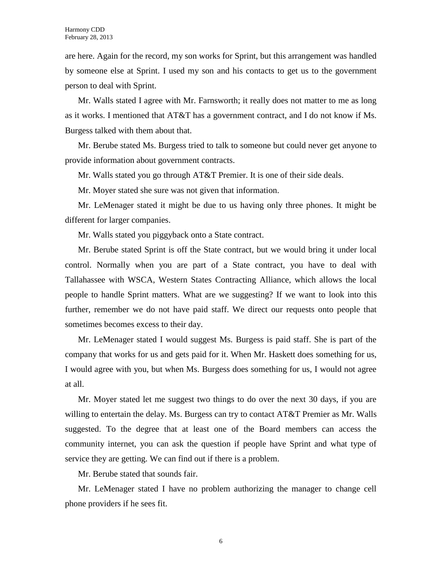are here. Again for the record, my son works for Sprint, but this arrangement was handled by someone else at Sprint. I used my son and his contacts to get us to the government person to deal with Sprint.

Mr. Walls stated I agree with Mr. Farnsworth; it really does not matter to me as long as it works. I mentioned that AT&T has a government contract, and I do not know if Ms. Burgess talked with them about that.

Mr. Berube stated Ms. Burgess tried to talk to someone but could never get anyone to provide information about government contracts.

Mr. Walls stated you go through AT&T Premier. It is one of their side deals.

Mr. Moyer stated she sure was not given that information.

Mr. LeMenager stated it might be due to us having only three phones. It might be different for larger companies.

Mr. Walls stated you piggyback onto a State contract.

Mr. Berube stated Sprint is off the State contract, but we would bring it under local control. Normally when you are part of a State contract, you have to deal with Tallahassee with WSCA, Western States Contracting Alliance, which allows the local people to handle Sprint matters. What are we suggesting? If we want to look into this further, remember we do not have paid staff. We direct our requests onto people that sometimes becomes excess to their day.

Mr. LeMenager stated I would suggest Ms. Burgess is paid staff. She is part of the company that works for us and gets paid for it. When Mr. Haskett does something for us, I would agree with you, but when Ms. Burgess does something for us, I would not agree at all.

Mr. Moyer stated let me suggest two things to do over the next 30 days, if you are willing to entertain the delay. Ms. Burgess can try to contact AT&T Premier as Mr. Walls suggested. To the degree that at least one of the Board members can access the community internet, you can ask the question if people have Sprint and what type of service they are getting. We can find out if there is a problem.

Mr. Berube stated that sounds fair.

Mr. LeMenager stated I have no problem authorizing the manager to change cell phone providers if he sees fit.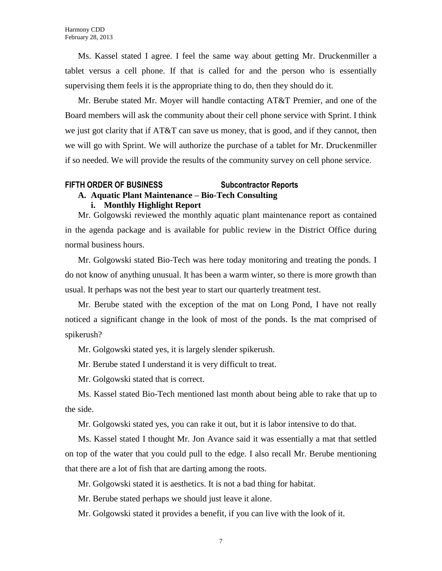Ms. Kassel stated I agree. I feel the same way about getting Mr. Druckenmiller a tablet versus a cell phone. If that is called for and the person who is essentially supervising them feels it is the appropriate thing to do, then they should do it.

Mr. Berube stated Mr. Moyer will handle contacting AT&T Premier, and one of the Board members will ask the community about their cell phone service with Sprint. I think we just got clarity that if AT&T can save us money, that is good, and if they cannot, then we will go with Sprint. We will authorize the purchase of a tablet for Mr. Druckenmiller if so needed. We will provide the results of the community survey on cell phone service.

#### **FIFTH ORDER OF BUSINESS Subcontractor Reports**

# **A. Aquatic Plant Maintenance – Bio-Tech Consulting**

#### **i. Monthly Highlight Report**

Mr. Golgowski reviewed the monthly aquatic plant maintenance report as contained in the agenda package and is available for public review in the District Office during normal business hours.

Mr. Golgowski stated Bio-Tech was here today monitoring and treating the ponds. I do not know of anything unusual. It has been a warm winter, so there is more growth than usual. It perhaps was not the best year to start our quarterly treatment test.

Mr. Berube stated with the exception of the mat on Long Pond, I have not really noticed a significant change in the look of most of the ponds. Is the mat comprised of spikerush?

Mr. Golgowski stated yes, it is largely slender spikerush.

Mr. Berube stated I understand it is very difficult to treat.

Mr. Golgowski stated that is correct.

Ms. Kassel stated Bio-Tech mentioned last month about being able to rake that up to the side.

Mr. Golgowski stated yes, you can rake it out, but it is labor intensive to do that.

Ms. Kassel stated I thought Mr. Jon Avance said it was essentially a mat that settled on top of the water that you could pull to the edge. I also recall Mr. Berube mentioning that there are a lot of fish that are darting among the roots.

Mr. Golgowski stated it is aesthetics. It is not a bad thing for habitat.

Mr. Berube stated perhaps we should just leave it alone.

Mr. Golgowski stated it provides a benefit, if you can live with the look of it.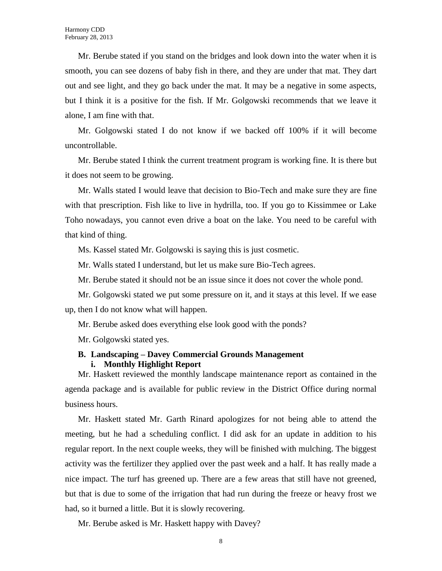Mr. Berube stated if you stand on the bridges and look down into the water when it is smooth, you can see dozens of baby fish in there, and they are under that mat. They dart out and see light, and they go back under the mat. It may be a negative in some aspects, but I think it is a positive for the fish. If Mr. Golgowski recommends that we leave it alone, I am fine with that.

Mr. Golgowski stated I do not know if we backed off 100% if it will become uncontrollable.

Mr. Berube stated I think the current treatment program is working fine. It is there but it does not seem to be growing.

Mr. Walls stated I would leave that decision to Bio-Tech and make sure they are fine with that prescription. Fish like to live in hydrilla, too. If you go to Kissimmee or Lake Toho nowadays, you cannot even drive a boat on the lake. You need to be careful with that kind of thing.

Ms. Kassel stated Mr. Golgowski is saying this is just cosmetic.

Mr. Walls stated I understand, but let us make sure Bio-Tech agrees.

Mr. Berube stated it should not be an issue since it does not cover the whole pond.

Mr. Golgowski stated we put some pressure on it, and it stays at this level. If we ease up, then I do not know what will happen.

Mr. Berube asked does everything else look good with the ponds?

Mr. Golgowski stated yes.

## **B. Landscaping – Davey Commercial Grounds Management i. Monthly Highlight Report**

Mr. Haskett reviewed the monthly landscape maintenance report as contained in the agenda package and is available for public review in the District Office during normal business hours.

Mr. Haskett stated Mr. Garth Rinard apologizes for not being able to attend the meeting, but he had a scheduling conflict. I did ask for an update in addition to his regular report. In the next couple weeks, they will be finished with mulching. The biggest activity was the fertilizer they applied over the past week and a half. It has really made a nice impact. The turf has greened up. There are a few areas that still have not greened, but that is due to some of the irrigation that had run during the freeze or heavy frost we had, so it burned a little. But it is slowly recovering.

Mr. Berube asked is Mr. Haskett happy with Davey?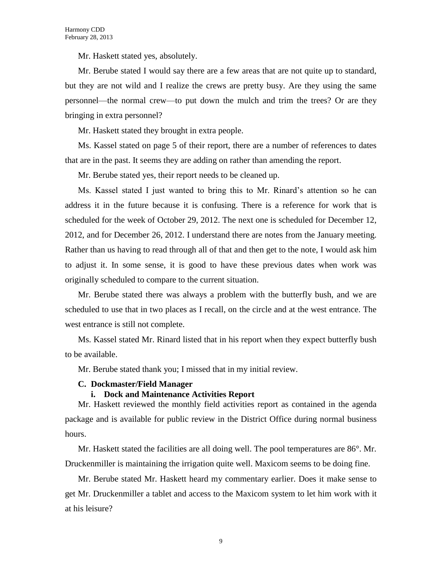Mr. Haskett stated yes, absolutely.

Mr. Berube stated I would say there are a few areas that are not quite up to standard, but they are not wild and I realize the crews are pretty busy. Are they using the same personnel—the normal crew—to put down the mulch and trim the trees? Or are they bringing in extra personnel?

Mr. Haskett stated they brought in extra people.

Ms. Kassel stated on page 5 of their report, there are a number of references to dates that are in the past. It seems they are adding on rather than amending the report.

Mr. Berube stated yes, their report needs to be cleaned up.

Ms. Kassel stated I just wanted to bring this to Mr. Rinard's attention so he can address it in the future because it is confusing. There is a reference for work that is scheduled for the week of October 29, 2012. The next one is scheduled for December 12, 2012, and for December 26, 2012. I understand there are notes from the January meeting. Rather than us having to read through all of that and then get to the note, I would ask him to adjust it. In some sense, it is good to have these previous dates when work was originally scheduled to compare to the current situation.

Mr. Berube stated there was always a problem with the butterfly bush, and we are scheduled to use that in two places as I recall, on the circle and at the west entrance. The west entrance is still not complete.

Ms. Kassel stated Mr. Rinard listed that in his report when they expect butterfly bush to be available.

Mr. Berube stated thank you; I missed that in my initial review.

### **C. Dockmaster/Field Manager**

### **i. Dock and Maintenance Activities Report**

Mr. Haskett reviewed the monthly field activities report as contained in the agenda package and is available for public review in the District Office during normal business hours.

Mr. Haskett stated the facilities are all doing well. The pool temperatures are 86°. Mr. Druckenmiller is maintaining the irrigation quite well. Maxicom seems to be doing fine.

Mr. Berube stated Mr. Haskett heard my commentary earlier. Does it make sense to get Mr. Druckenmiller a tablet and access to the Maxicom system to let him work with it at his leisure?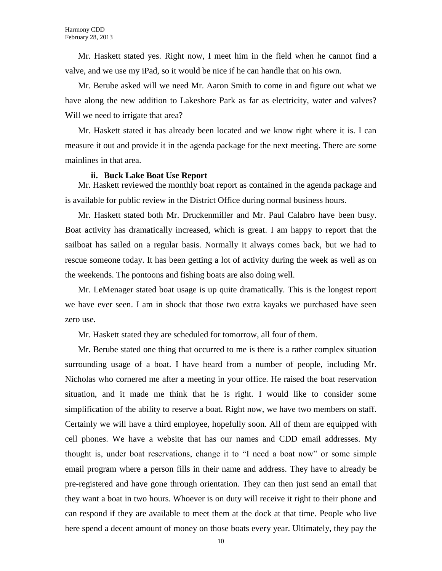Mr. Haskett stated yes. Right now, I meet him in the field when he cannot find a valve, and we use my iPad, so it would be nice if he can handle that on his own.

Mr. Berube asked will we need Mr. Aaron Smith to come in and figure out what we have along the new addition to Lakeshore Park as far as electricity, water and valves? Will we need to irrigate that area?

Mr. Haskett stated it has already been located and we know right where it is. I can measure it out and provide it in the agenda package for the next meeting. There are some mainlines in that area.

#### **ii. Buck Lake Boat Use Report**

Mr. Haskett reviewed the monthly boat report as contained in the agenda package and is available for public review in the District Office during normal business hours.

Mr. Haskett stated both Mr. Druckenmiller and Mr. Paul Calabro have been busy. Boat activity has dramatically increased, which is great. I am happy to report that the sailboat has sailed on a regular basis. Normally it always comes back, but we had to rescue someone today. It has been getting a lot of activity during the week as well as on the weekends. The pontoons and fishing boats are also doing well.

Mr. LeMenager stated boat usage is up quite dramatically. This is the longest report we have ever seen. I am in shock that those two extra kayaks we purchased have seen zero use.

Mr. Haskett stated they are scheduled for tomorrow, all four of them.

Mr. Berube stated one thing that occurred to me is there is a rather complex situation surrounding usage of a boat. I have heard from a number of people, including Mr. Nicholas who cornered me after a meeting in your office. He raised the boat reservation situation, and it made me think that he is right. I would like to consider some simplification of the ability to reserve a boat. Right now, we have two members on staff. Certainly we will have a third employee, hopefully soon. All of them are equipped with cell phones. We have a website that has our names and CDD email addresses. My thought is, under boat reservations, change it to "I need a boat now" or some simple email program where a person fills in their name and address. They have to already be pre-registered and have gone through orientation. They can then just send an email that they want a boat in two hours. Whoever is on duty will receive it right to their phone and can respond if they are available to meet them at the dock at that time. People who live here spend a decent amount of money on those boats every year. Ultimately, they pay the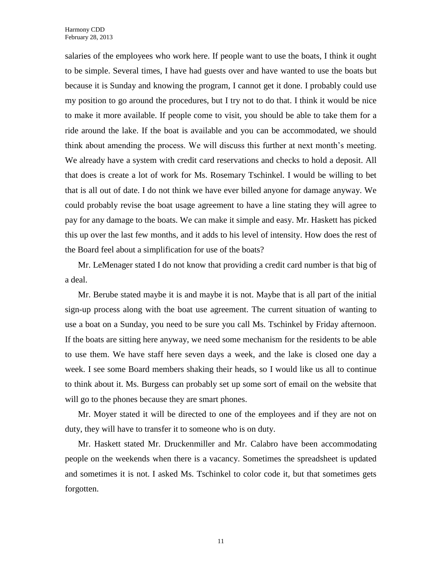salaries of the employees who work here. If people want to use the boats, I think it ought to be simple. Several times, I have had guests over and have wanted to use the boats but because it is Sunday and knowing the program, I cannot get it done. I probably could use my position to go around the procedures, but I try not to do that. I think it would be nice to make it more available. If people come to visit, you should be able to take them for a ride around the lake. If the boat is available and you can be accommodated, we should think about amending the process. We will discuss this further at next month's meeting. We already have a system with credit card reservations and checks to hold a deposit. All that does is create a lot of work for Ms. Rosemary Tschinkel. I would be willing to bet that is all out of date. I do not think we have ever billed anyone for damage anyway. We could probably revise the boat usage agreement to have a line stating they will agree to pay for any damage to the boats. We can make it simple and easy. Mr. Haskett has picked this up over the last few months, and it adds to his level of intensity. How does the rest of the Board feel about a simplification for use of the boats?

Mr. LeMenager stated I do not know that providing a credit card number is that big of a deal.

Mr. Berube stated maybe it is and maybe it is not. Maybe that is all part of the initial sign-up process along with the boat use agreement. The current situation of wanting to use a boat on a Sunday, you need to be sure you call Ms. Tschinkel by Friday afternoon. If the boats are sitting here anyway, we need some mechanism for the residents to be able to use them. We have staff here seven days a week, and the lake is closed one day a week. I see some Board members shaking their heads, so I would like us all to continue to think about it. Ms. Burgess can probably set up some sort of email on the website that will go to the phones because they are smart phones.

Mr. Moyer stated it will be directed to one of the employees and if they are not on duty, they will have to transfer it to someone who is on duty.

Mr. Haskett stated Mr. Druckenmiller and Mr. Calabro have been accommodating people on the weekends when there is a vacancy. Sometimes the spreadsheet is updated and sometimes it is not. I asked Ms. Tschinkel to color code it, but that sometimes gets forgotten.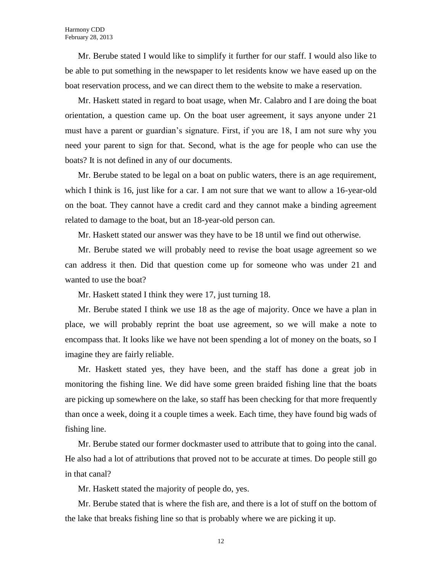Mr. Berube stated I would like to simplify it further for our staff. I would also like to be able to put something in the newspaper to let residents know we have eased up on the boat reservation process, and we can direct them to the website to make a reservation.

Mr. Haskett stated in regard to boat usage, when Mr. Calabro and I are doing the boat orientation, a question came up. On the boat user agreement, it says anyone under 21 must have a parent or guardian's signature. First, if you are 18, I am not sure why you need your parent to sign for that. Second, what is the age for people who can use the boats? It is not defined in any of our documents.

Mr. Berube stated to be legal on a boat on public waters, there is an age requirement, which I think is 16, just like for a car. I am not sure that we want to allow a 16-year-old on the boat. They cannot have a credit card and they cannot make a binding agreement related to damage to the boat, but an 18-year-old person can.

Mr. Haskett stated our answer was they have to be 18 until we find out otherwise.

Mr. Berube stated we will probably need to revise the boat usage agreement so we can address it then. Did that question come up for someone who was under 21 and wanted to use the boat?

Mr. Haskett stated I think they were 17, just turning 18.

Mr. Berube stated I think we use 18 as the age of majority. Once we have a plan in place, we will probably reprint the boat use agreement, so we will make a note to encompass that. It looks like we have not been spending a lot of money on the boats, so I imagine they are fairly reliable.

Mr. Haskett stated yes, they have been, and the staff has done a great job in monitoring the fishing line. We did have some green braided fishing line that the boats are picking up somewhere on the lake, so staff has been checking for that more frequently than once a week, doing it a couple times a week. Each time, they have found big wads of fishing line.

Mr. Berube stated our former dockmaster used to attribute that to going into the canal. He also had a lot of attributions that proved not to be accurate at times. Do people still go in that canal?

Mr. Haskett stated the majority of people do, yes.

Mr. Berube stated that is where the fish are, and there is a lot of stuff on the bottom of the lake that breaks fishing line so that is probably where we are picking it up.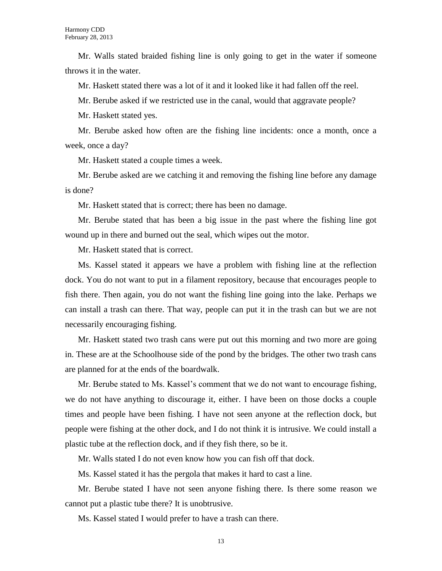Mr. Walls stated braided fishing line is only going to get in the water if someone throws it in the water.

Mr. Haskett stated there was a lot of it and it looked like it had fallen off the reel.

Mr. Berube asked if we restricted use in the canal, would that aggravate people?

Mr. Haskett stated yes.

Mr. Berube asked how often are the fishing line incidents: once a month, once a week, once a day?

Mr. Haskett stated a couple times a week.

Mr. Berube asked are we catching it and removing the fishing line before any damage is done?

Mr. Haskett stated that is correct; there has been no damage.

Mr. Berube stated that has been a big issue in the past where the fishing line got wound up in there and burned out the seal, which wipes out the motor.

Mr. Haskett stated that is correct.

Ms. Kassel stated it appears we have a problem with fishing line at the reflection dock. You do not want to put in a filament repository, because that encourages people to fish there. Then again, you do not want the fishing line going into the lake. Perhaps we can install a trash can there. That way, people can put it in the trash can but we are not necessarily encouraging fishing.

Mr. Haskett stated two trash cans were put out this morning and two more are going in. These are at the Schoolhouse side of the pond by the bridges. The other two trash cans are planned for at the ends of the boardwalk.

Mr. Berube stated to Ms. Kassel's comment that we do not want to encourage fishing, we do not have anything to discourage it, either. I have been on those docks a couple times and people have been fishing. I have not seen anyone at the reflection dock, but people were fishing at the other dock, and I do not think it is intrusive. We could install a plastic tube at the reflection dock, and if they fish there, so be it.

Mr. Walls stated I do not even know how you can fish off that dock.

Ms. Kassel stated it has the pergola that makes it hard to cast a line.

Mr. Berube stated I have not seen anyone fishing there. Is there some reason we cannot put a plastic tube there? It is unobtrusive.

Ms. Kassel stated I would prefer to have a trash can there.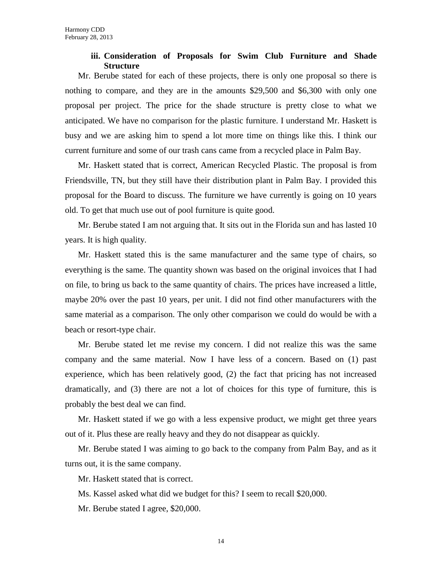## **iii. Consideration of Proposals for Swim Club Furniture and Shade Structure**

Mr. Berube stated for each of these projects, there is only one proposal so there is nothing to compare, and they are in the amounts \$29,500 and \$6,300 with only one proposal per project. The price for the shade structure is pretty close to what we anticipated. We have no comparison for the plastic furniture. I understand Mr. Haskett is busy and we are asking him to spend a lot more time on things like this. I think our current furniture and some of our trash cans came from a recycled place in Palm Bay.

Mr. Haskett stated that is correct, American Recycled Plastic. The proposal is from Friendsville, TN, but they still have their distribution plant in Palm Bay. I provided this proposal for the Board to discuss. The furniture we have currently is going on 10 years old. To get that much use out of pool furniture is quite good.

Mr. Berube stated I am not arguing that. It sits out in the Florida sun and has lasted 10 years. It is high quality.

Mr. Haskett stated this is the same manufacturer and the same type of chairs, so everything is the same. The quantity shown was based on the original invoices that I had on file, to bring us back to the same quantity of chairs. The prices have increased a little, maybe 20% over the past 10 years, per unit. I did not find other manufacturers with the same material as a comparison. The only other comparison we could do would be with a beach or resort-type chair.

Mr. Berube stated let me revise my concern. I did not realize this was the same company and the same material. Now I have less of a concern. Based on (1) past experience, which has been relatively good, (2) the fact that pricing has not increased dramatically, and (3) there are not a lot of choices for this type of furniture, this is probably the best deal we can find.

Mr. Haskett stated if we go with a less expensive product, we might get three years out of it. Plus these are really heavy and they do not disappear as quickly.

Mr. Berube stated I was aiming to go back to the company from Palm Bay, and as it turns out, it is the same company.

Mr. Haskett stated that is correct.

Ms. Kassel asked what did we budget for this? I seem to recall \$20,000.

Mr. Berube stated I agree, \$20,000.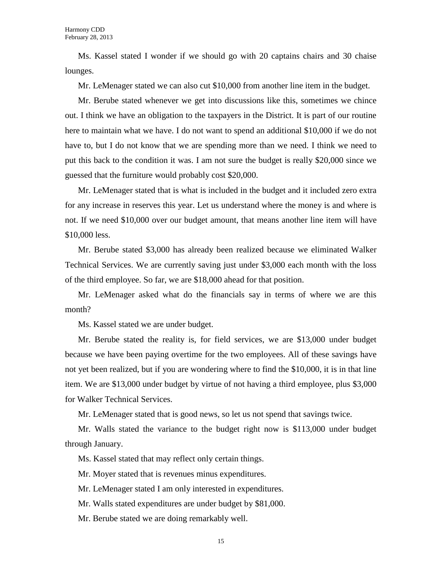Ms. Kassel stated I wonder if we should go with 20 captains chairs and 30 chaise lounges.

Mr. LeMenager stated we can also cut \$10,000 from another line item in the budget.

Mr. Berube stated whenever we get into discussions like this, sometimes we chince out. I think we have an obligation to the taxpayers in the District. It is part of our routine here to maintain what we have. I do not want to spend an additional \$10,000 if we do not have to, but I do not know that we are spending more than we need. I think we need to put this back to the condition it was. I am not sure the budget is really \$20,000 since we guessed that the furniture would probably cost \$20,000.

Mr. LeMenager stated that is what is included in the budget and it included zero extra for any increase in reserves this year. Let us understand where the money is and where is not. If we need \$10,000 over our budget amount, that means another line item will have \$10,000 less.

Mr. Berube stated \$3,000 has already been realized because we eliminated Walker Technical Services. We are currently saving just under \$3,000 each month with the loss of the third employee. So far, we are \$18,000 ahead for that position.

Mr. LeMenager asked what do the financials say in terms of where we are this month?

Ms. Kassel stated we are under budget.

Mr. Berube stated the reality is, for field services, we are \$13,000 under budget because we have been paying overtime for the two employees. All of these savings have not yet been realized, but if you are wondering where to find the \$10,000, it is in that line item. We are \$13,000 under budget by virtue of not having a third employee, plus \$3,000 for Walker Technical Services.

Mr. LeMenager stated that is good news, so let us not spend that savings twice.

Mr. Walls stated the variance to the budget right now is \$113,000 under budget through January.

Ms. Kassel stated that may reflect only certain things.

Mr. Moyer stated that is revenues minus expenditures.

Mr. LeMenager stated I am only interested in expenditures.

Mr. Walls stated expenditures are under budget by \$81,000.

Mr. Berube stated we are doing remarkably well.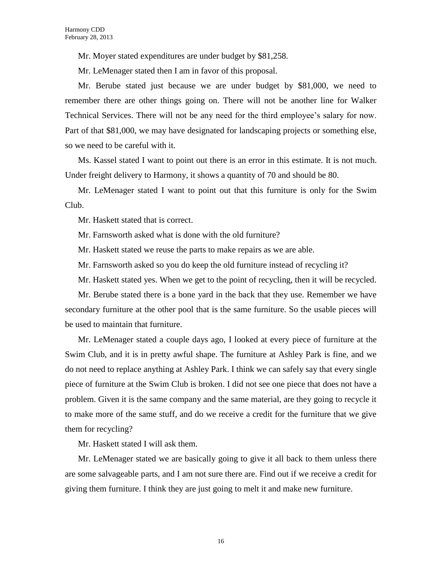Mr. Moyer stated expenditures are under budget by \$81,258.

Mr. LeMenager stated then I am in favor of this proposal.

Mr. Berube stated just because we are under budget by \$81,000, we need to remember there are other things going on. There will not be another line for Walker Technical Services. There will not be any need for the third employee's salary for now. Part of that \$81,000, we may have designated for landscaping projects or something else, so we need to be careful with it.

Ms. Kassel stated I want to point out there is an error in this estimate. It is not much. Under freight delivery to Harmony, it shows a quantity of 70 and should be 80.

Mr. LeMenager stated I want to point out that this furniture is only for the Swim Club.

Mr. Haskett stated that is correct.

Mr. Farnsworth asked what is done with the old furniture?

Mr. Haskett stated we reuse the parts to make repairs as we are able.

Mr. Farnsworth asked so you do keep the old furniture instead of recycling it?

Mr. Haskett stated yes. When we get to the point of recycling, then it will be recycled.

Mr. Berube stated there is a bone yard in the back that they use. Remember we have secondary furniture at the other pool that is the same furniture. So the usable pieces will be used to maintain that furniture.

Mr. LeMenager stated a couple days ago, I looked at every piece of furniture at the Swim Club, and it is in pretty awful shape. The furniture at Ashley Park is fine, and we do not need to replace anything at Ashley Park. I think we can safely say that every single piece of furniture at the Swim Club is broken. I did not see one piece that does not have a problem. Given it is the same company and the same material, are they going to recycle it to make more of the same stuff, and do we receive a credit for the furniture that we give them for recycling?

Mr. Haskett stated I will ask them.

Mr. LeMenager stated we are basically going to give it all back to them unless there are some salvageable parts, and I am not sure there are. Find out if we receive a credit for giving them furniture. I think they are just going to melt it and make new furniture.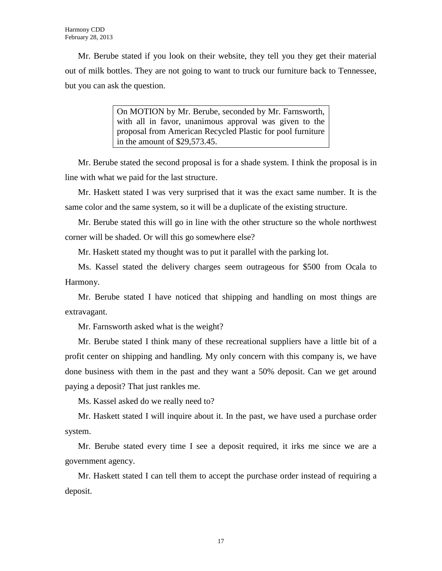Mr. Berube stated if you look on their website, they tell you they get their material out of milk bottles. They are not going to want to truck our furniture back to Tennessee, but you can ask the question.

> On MOTION by Mr. Berube, seconded by Mr. Farnsworth, with all in favor, unanimous approval was given to the proposal from American Recycled Plastic for pool furniture in the amount of \$29,573.45.

Mr. Berube stated the second proposal is for a shade system. I think the proposal is in line with what we paid for the last structure.

Mr. Haskett stated I was very surprised that it was the exact same number. It is the same color and the same system, so it will be a duplicate of the existing structure.

Mr. Berube stated this will go in line with the other structure so the whole northwest corner will be shaded. Or will this go somewhere else?

Mr. Haskett stated my thought was to put it parallel with the parking lot.

Ms. Kassel stated the delivery charges seem outrageous for \$500 from Ocala to Harmony.

Mr. Berube stated I have noticed that shipping and handling on most things are extravagant.

Mr. Farnsworth asked what is the weight?

Mr. Berube stated I think many of these recreational suppliers have a little bit of a profit center on shipping and handling. My only concern with this company is, we have done business with them in the past and they want a 50% deposit. Can we get around paying a deposit? That just rankles me.

Ms. Kassel asked do we really need to?

Mr. Haskett stated I will inquire about it. In the past, we have used a purchase order system.

Mr. Berube stated every time I see a deposit required, it irks me since we are a government agency.

Mr. Haskett stated I can tell them to accept the purchase order instead of requiring a deposit.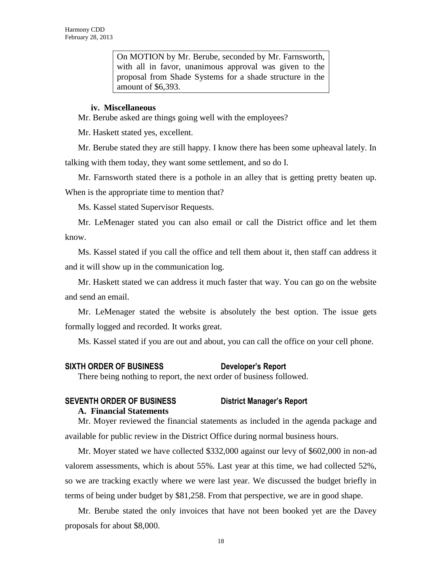On MOTION by Mr. Berube, seconded by Mr. Farnsworth, with all in favor, unanimous approval was given to the proposal from Shade Systems for a shade structure in the amount of \$6,393.

#### **iv. Miscellaneous**

Mr. Berube asked are things going well with the employees?

Mr. Haskett stated yes, excellent.

Mr. Berube stated they are still happy. I know there has been some upheaval lately. In talking with them today, they want some settlement, and so do I.

Mr. Farnsworth stated there is a pothole in an alley that is getting pretty beaten up. When is the appropriate time to mention that?

Ms. Kassel stated Supervisor Requests.

Mr. LeMenager stated you can also email or call the District office and let them know.

Ms. Kassel stated if you call the office and tell them about it, then staff can address it and it will show up in the communication log.

Mr. Haskett stated we can address it much faster that way. You can go on the website and send an email.

Mr. LeMenager stated the website is absolutely the best option. The issue gets formally logged and recorded. It works great.

Ms. Kassel stated if you are out and about, you can call the office on your cell phone.

#### **SIXTH ORDER OF BUSINESS Developer's Report**

There being nothing to report, the next order of business followed.

### **SEVENTH ORDER OF BUSINESS District Manager's Report A. Financial Statements**

Mr. Moyer reviewed the financial statements as included in the agenda package and available for public review in the District Office during normal business hours.

Mr. Moyer stated we have collected \$332,000 against our levy of \$602,000 in non-ad valorem assessments, which is about 55%. Last year at this time, we had collected 52%, so we are tracking exactly where we were last year. We discussed the budget briefly in terms of being under budget by \$81,258. From that perspective, we are in good shape.

Mr. Berube stated the only invoices that have not been booked yet are the Davey proposals for about \$8,000.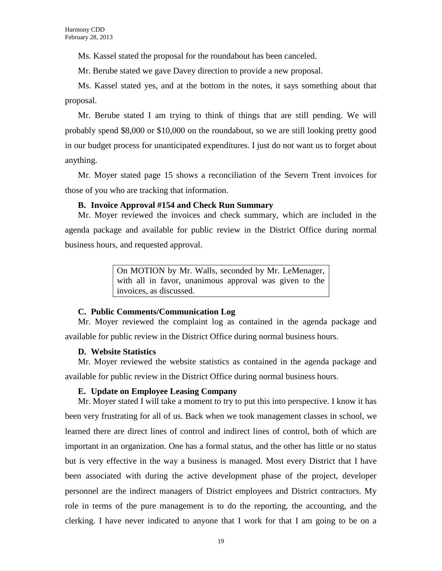Ms. Kassel stated the proposal for the roundabout has been canceled.

Mr. Berube stated we gave Davey direction to provide a new proposal.

Ms. Kassel stated yes, and at the bottom in the notes, it says something about that proposal.

Mr. Berube stated I am trying to think of things that are still pending. We will probably spend \$8,000 or \$10,000 on the roundabout, so we are still looking pretty good in our budget process for unanticipated expenditures. I just do not want us to forget about anything.

Mr. Moyer stated page 15 shows a reconciliation of the Severn Trent invoices for those of you who are tracking that information.

# **B. Invoice Approval #154 and Check Run Summary**

Mr. Moyer reviewed the invoices and check summary, which are included in the agenda package and available for public review in the District Office during normal business hours, and requested approval.

> On MOTION by Mr. Walls, seconded by Mr. LeMenager, with all in favor, unanimous approval was given to the invoices, as discussed.

# **C. Public Comments/Communication Log**

Mr. Moyer reviewed the complaint log as contained in the agenda package and available for public review in the District Office during normal business hours.

# **D. Website Statistics**

Mr. Moyer reviewed the website statistics as contained in the agenda package and available for public review in the District Office during normal business hours.

### **E. Update on Employee Leasing Company**

Mr. Moyer stated I will take a moment to try to put this into perspective. I know it has been very frustrating for all of us. Back when we took management classes in school, we learned there are direct lines of control and indirect lines of control, both of which are important in an organization. One has a formal status, and the other has little or no status but is very effective in the way a business is managed. Most every District that I have been associated with during the active development phase of the project, developer personnel are the indirect managers of District employees and District contractors. My role in terms of the pure management is to do the reporting, the accounting, and the clerking. I have never indicated to anyone that I work for that I am going to be on a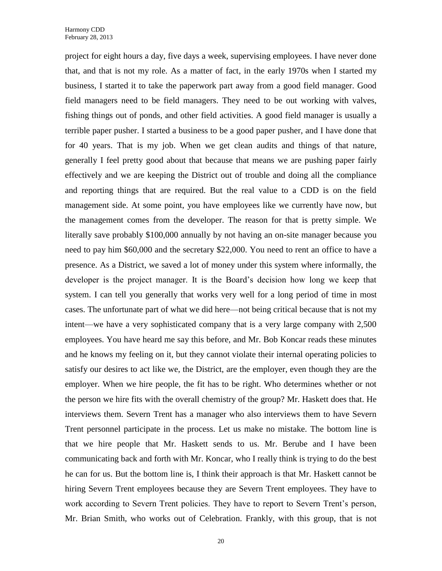project for eight hours a day, five days a week, supervising employees. I have never done that, and that is not my role. As a matter of fact, in the early 1970s when I started my business, I started it to take the paperwork part away from a good field manager. Good field managers need to be field managers. They need to be out working with valves, fishing things out of ponds, and other field activities. A good field manager is usually a terrible paper pusher. I started a business to be a good paper pusher, and I have done that for 40 years. That is my job. When we get clean audits and things of that nature, generally I feel pretty good about that because that means we are pushing paper fairly effectively and we are keeping the District out of trouble and doing all the compliance and reporting things that are required. But the real value to a CDD is on the field management side. At some point, you have employees like we currently have now, but the management comes from the developer. The reason for that is pretty simple. We literally save probably \$100,000 annually by not having an on-site manager because you need to pay him \$60,000 and the secretary \$22,000. You need to rent an office to have a presence. As a District, we saved a lot of money under this system where informally, the developer is the project manager. It is the Board's decision how long we keep that system. I can tell you generally that works very well for a long period of time in most cases. The unfortunate part of what we did here—not being critical because that is not my intent—we have a very sophisticated company that is a very large company with 2,500 employees. You have heard me say this before, and Mr. Bob Koncar reads these minutes and he knows my feeling on it, but they cannot violate their internal operating policies to satisfy our desires to act like we, the District, are the employer, even though they are the employer. When we hire people, the fit has to be right. Who determines whether or not the person we hire fits with the overall chemistry of the group? Mr. Haskett does that. He interviews them. Severn Trent has a manager who also interviews them to have Severn Trent personnel participate in the process. Let us make no mistake. The bottom line is that we hire people that Mr. Haskett sends to us. Mr. Berube and I have been communicating back and forth with Mr. Koncar, who I really think is trying to do the best he can for us. But the bottom line is, I think their approach is that Mr. Haskett cannot be hiring Severn Trent employees because they are Severn Trent employees. They have to work according to Severn Trent policies. They have to report to Severn Trent's person, Mr. Brian Smith, who works out of Celebration. Frankly, with this group, that is not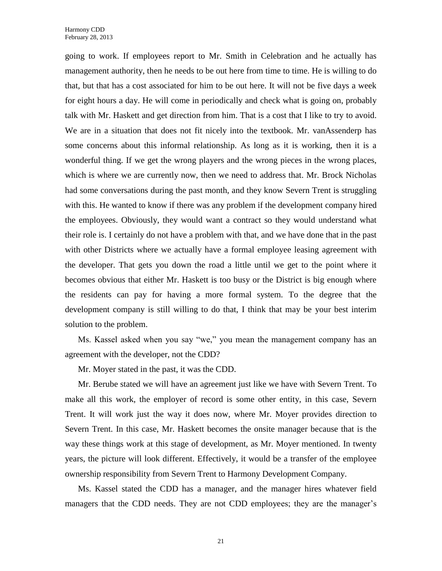going to work. If employees report to Mr. Smith in Celebration and he actually has management authority, then he needs to be out here from time to time. He is willing to do that, but that has a cost associated for him to be out here. It will not be five days a week for eight hours a day. He will come in periodically and check what is going on, probably talk with Mr. Haskett and get direction from him. That is a cost that I like to try to avoid. We are in a situation that does not fit nicely into the textbook. Mr. vanAssenderp has some concerns about this informal relationship. As long as it is working, then it is a wonderful thing. If we get the wrong players and the wrong pieces in the wrong places, which is where we are currently now, then we need to address that. Mr. Brock Nicholas had some conversations during the past month, and they know Severn Trent is struggling with this. He wanted to know if there was any problem if the development company hired the employees. Obviously, they would want a contract so they would understand what their role is. I certainly do not have a problem with that, and we have done that in the past with other Districts where we actually have a formal employee leasing agreement with the developer. That gets you down the road a little until we get to the point where it becomes obvious that either Mr. Haskett is too busy or the District is big enough where the residents can pay for having a more formal system. To the degree that the development company is still willing to do that, I think that may be your best interim solution to the problem.

Ms. Kassel asked when you say "we," you mean the management company has an agreement with the developer, not the CDD?

Mr. Moyer stated in the past, it was the CDD.

Mr. Berube stated we will have an agreement just like we have with Severn Trent. To make all this work, the employer of record is some other entity, in this case, Severn Trent. It will work just the way it does now, where Mr. Moyer provides direction to Severn Trent. In this case, Mr. Haskett becomes the onsite manager because that is the way these things work at this stage of development, as Mr. Moyer mentioned. In twenty years, the picture will look different. Effectively, it would be a transfer of the employee ownership responsibility from Severn Trent to Harmony Development Company.

Ms. Kassel stated the CDD has a manager, and the manager hires whatever field managers that the CDD needs. They are not CDD employees; they are the manager's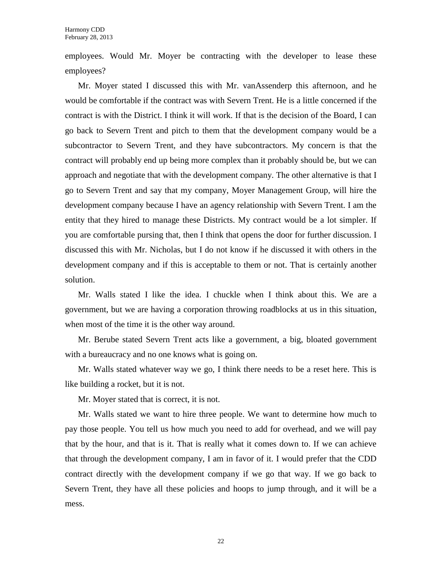employees. Would Mr. Moyer be contracting with the developer to lease these employees?

Mr. Moyer stated I discussed this with Mr. vanAssenderp this afternoon, and he would be comfortable if the contract was with Severn Trent. He is a little concerned if the contract is with the District. I think it will work. If that is the decision of the Board, I can go back to Severn Trent and pitch to them that the development company would be a subcontractor to Severn Trent, and they have subcontractors. My concern is that the contract will probably end up being more complex than it probably should be, but we can approach and negotiate that with the development company. The other alternative is that I go to Severn Trent and say that my company, Moyer Management Group, will hire the development company because I have an agency relationship with Severn Trent. I am the entity that they hired to manage these Districts. My contract would be a lot simpler. If you are comfortable pursing that, then I think that opens the door for further discussion. I discussed this with Mr. Nicholas, but I do not know if he discussed it with others in the development company and if this is acceptable to them or not. That is certainly another solution.

Mr. Walls stated I like the idea. I chuckle when I think about this. We are a government, but we are having a corporation throwing roadblocks at us in this situation, when most of the time it is the other way around.

Mr. Berube stated Severn Trent acts like a government, a big, bloated government with a bureaucracy and no one knows what is going on.

Mr. Walls stated whatever way we go, I think there needs to be a reset here. This is like building a rocket, but it is not.

Mr. Moyer stated that is correct, it is not.

Mr. Walls stated we want to hire three people. We want to determine how much to pay those people. You tell us how much you need to add for overhead, and we will pay that by the hour, and that is it. That is really what it comes down to. If we can achieve that through the development company, I am in favor of it. I would prefer that the CDD contract directly with the development company if we go that way. If we go back to Severn Trent, they have all these policies and hoops to jump through, and it will be a mess.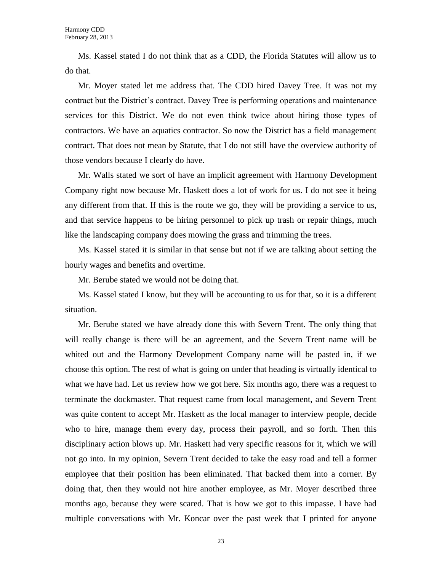Ms. Kassel stated I do not think that as a CDD, the Florida Statutes will allow us to do that.

Mr. Moyer stated let me address that. The CDD hired Davey Tree. It was not my contract but the District's contract. Davey Tree is performing operations and maintenance services for this District. We do not even think twice about hiring those types of contractors. We have an aquatics contractor. So now the District has a field management contract. That does not mean by Statute, that I do not still have the overview authority of those vendors because I clearly do have.

Mr. Walls stated we sort of have an implicit agreement with Harmony Development Company right now because Mr. Haskett does a lot of work for us. I do not see it being any different from that. If this is the route we go, they will be providing a service to us, and that service happens to be hiring personnel to pick up trash or repair things, much like the landscaping company does mowing the grass and trimming the trees.

Ms. Kassel stated it is similar in that sense but not if we are talking about setting the hourly wages and benefits and overtime.

Mr. Berube stated we would not be doing that.

Ms. Kassel stated I know, but they will be accounting to us for that, so it is a different situation.

Mr. Berube stated we have already done this with Severn Trent. The only thing that will really change is there will be an agreement, and the Severn Trent name will be whited out and the Harmony Development Company name will be pasted in, if we choose this option. The rest of what is going on under that heading is virtually identical to what we have had. Let us review how we got here. Six months ago, there was a request to terminate the dockmaster. That request came from local management, and Severn Trent was quite content to accept Mr. Haskett as the local manager to interview people, decide who to hire, manage them every day, process their payroll, and so forth. Then this disciplinary action blows up. Mr. Haskett had very specific reasons for it, which we will not go into. In my opinion, Severn Trent decided to take the easy road and tell a former employee that their position has been eliminated. That backed them into a corner. By doing that, then they would not hire another employee, as Mr. Moyer described three months ago, because they were scared. That is how we got to this impasse. I have had multiple conversations with Mr. Koncar over the past week that I printed for anyone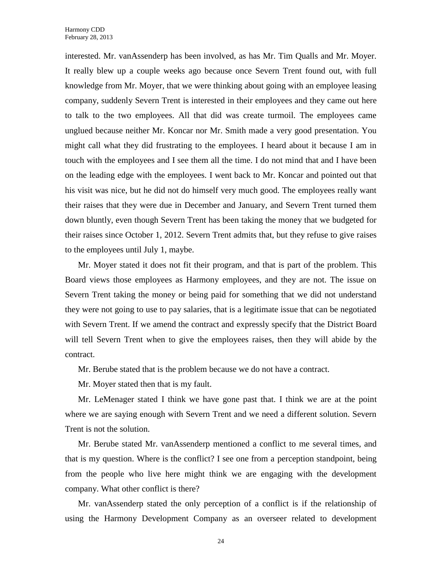interested. Mr. vanAssenderp has been involved, as has Mr. Tim Qualls and Mr. Moyer. It really blew up a couple weeks ago because once Severn Trent found out, with full knowledge from Mr. Moyer, that we were thinking about going with an employee leasing company, suddenly Severn Trent is interested in their employees and they came out here to talk to the two employees. All that did was create turmoil. The employees came unglued because neither Mr. Koncar nor Mr. Smith made a very good presentation. You might call what they did frustrating to the employees. I heard about it because I am in touch with the employees and I see them all the time. I do not mind that and I have been on the leading edge with the employees. I went back to Mr. Koncar and pointed out that his visit was nice, but he did not do himself very much good. The employees really want their raises that they were due in December and January, and Severn Trent turned them down bluntly, even though Severn Trent has been taking the money that we budgeted for their raises since October 1, 2012. Severn Trent admits that, but they refuse to give raises to the employees until July 1, maybe.

Mr. Moyer stated it does not fit their program, and that is part of the problem. This Board views those employees as Harmony employees, and they are not. The issue on Severn Trent taking the money or being paid for something that we did not understand they were not going to use to pay salaries, that is a legitimate issue that can be negotiated with Severn Trent. If we amend the contract and expressly specify that the District Board will tell Severn Trent when to give the employees raises, then they will abide by the contract.

Mr. Berube stated that is the problem because we do not have a contract.

Mr. Moyer stated then that is my fault.

Mr. LeMenager stated I think we have gone past that. I think we are at the point where we are saying enough with Severn Trent and we need a different solution. Severn Trent is not the solution.

Mr. Berube stated Mr. vanAssenderp mentioned a conflict to me several times, and that is my question. Where is the conflict? I see one from a perception standpoint, being from the people who live here might think we are engaging with the development company. What other conflict is there?

Mr. vanAssenderp stated the only perception of a conflict is if the relationship of using the Harmony Development Company as an overseer related to development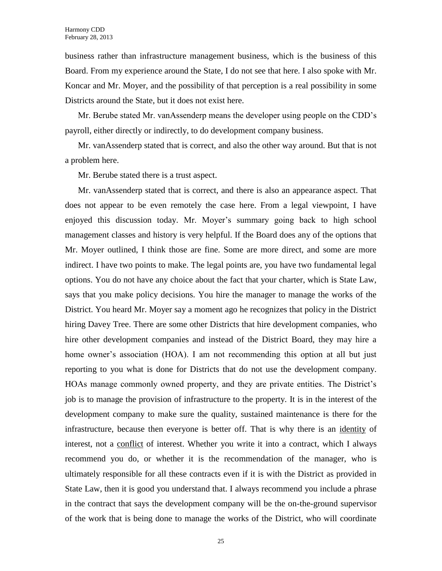business rather than infrastructure management business, which is the business of this Board. From my experience around the State, I do not see that here. I also spoke with Mr. Koncar and Mr. Moyer, and the possibility of that perception is a real possibility in some Districts around the State, but it does not exist here.

Mr. Berube stated Mr. vanAssenderp means the developer using people on the CDD's payroll, either directly or indirectly, to do development company business.

Mr. vanAssenderp stated that is correct, and also the other way around. But that is not a problem here.

Mr. Berube stated there is a trust aspect.

Mr. vanAssenderp stated that is correct, and there is also an appearance aspect. That does not appear to be even remotely the case here. From a legal viewpoint, I have enjoyed this discussion today. Mr. Moyer's summary going back to high school management classes and history is very helpful. If the Board does any of the options that Mr. Moyer outlined, I think those are fine. Some are more direct, and some are more indirect. I have two points to make. The legal points are, you have two fundamental legal options. You do not have any choice about the fact that your charter, which is State Law, says that you make policy decisions. You hire the manager to manage the works of the District. You heard Mr. Moyer say a moment ago he recognizes that policy in the District hiring Davey Tree. There are some other Districts that hire development companies, who hire other development companies and instead of the District Board, they may hire a home owner's association (HOA). I am not recommending this option at all but just reporting to you what is done for Districts that do not use the development company. HOAs manage commonly owned property, and they are private entities. The District's job is to manage the provision of infrastructure to the property. It is in the interest of the development company to make sure the quality, sustained maintenance is there for the infrastructure, because then everyone is better off. That is why there is an identity of interest, not a conflict of interest. Whether you write it into a contract, which I always recommend you do, or whether it is the recommendation of the manager, who is ultimately responsible for all these contracts even if it is with the District as provided in State Law, then it is good you understand that. I always recommend you include a phrase in the contract that says the development company will be the on-the-ground supervisor of the work that is being done to manage the works of the District, who will coordinate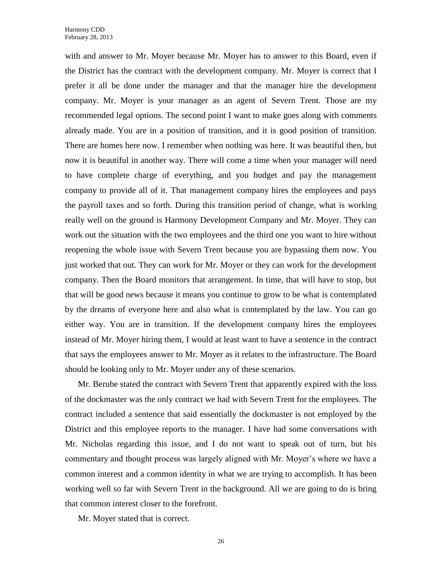with and answer to Mr. Moyer because Mr. Moyer has to answer to this Board, even if the District has the contract with the development company. Mr. Moyer is correct that I prefer it all be done under the manager and that the manager hire the development company. Mr. Moyer is your manager as an agent of Severn Trent. Those are my recommended legal options. The second point I want to make goes along with comments already made. You are in a position of transition, and it is good position of transition. There are homes here now. I remember when nothing was here. It was beautiful then, but now it is beautiful in another way. There will come a time when your manager will need to have complete charge of everything, and you budget and pay the management company to provide all of it. That management company hires the employees and pays the payroll taxes and so forth. During this transition period of change, what is working really well on the ground is Harmony Development Company and Mr. Moyer. They can work out the situation with the two employees and the third one you want to hire without reopening the whole issue with Severn Trent because you are bypassing them now. You just worked that out. They can work for Mr. Moyer or they can work for the development company. Then the Board monitors that arrangement. In time, that will have to stop, but that will be good news because it means you continue to grow to be what is contemplated by the dreams of everyone here and also what is contemplated by the law. You can go either way. You are in transition. If the development company hires the employees instead of Mr. Moyer hiring them, I would at least want to have a sentence in the contract that says the employees answer to Mr. Moyer as it relates to the infrastructure. The Board should be looking only to Mr. Moyer under any of these scenarios.

Mr. Berube stated the contract with Severn Trent that apparently expired with the loss of the dockmaster was the only contract we had with Severn Trent for the employees. The contract included a sentence that said essentially the dockmaster is not employed by the District and this employee reports to the manager. I have had some conversations with Mr. Nicholas regarding this issue, and I do not want to speak out of turn, but his commentary and thought process was largely aligned with Mr. Moyer's where we have a common interest and a common identity in what we are trying to accomplish. It has been working well so far with Severn Trent in the background. All we are going to do is bring that common interest closer to the forefront.

Mr. Moyer stated that is correct.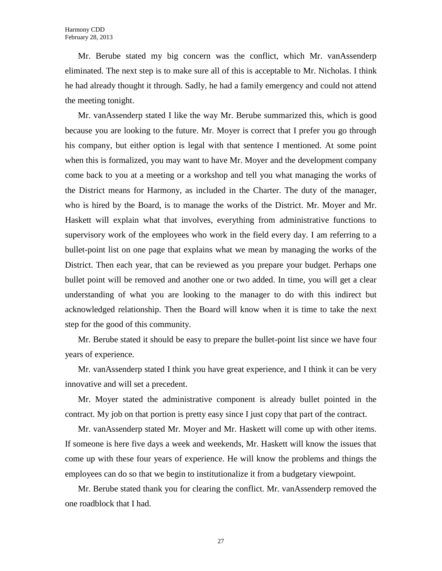Mr. Berube stated my big concern was the conflict, which Mr. vanAssenderp eliminated. The next step is to make sure all of this is acceptable to Mr. Nicholas. I think he had already thought it through. Sadly, he had a family emergency and could not attend the meeting tonight.

Mr. vanAssenderp stated I like the way Mr. Berube summarized this, which is good because you are looking to the future. Mr. Moyer is correct that I prefer you go through his company, but either option is legal with that sentence I mentioned. At some point when this is formalized, you may want to have Mr. Moyer and the development company come back to you at a meeting or a workshop and tell you what managing the works of the District means for Harmony, as included in the Charter. The duty of the manager, who is hired by the Board, is to manage the works of the District. Mr. Moyer and Mr. Haskett will explain what that involves, everything from administrative functions to supervisory work of the employees who work in the field every day. I am referring to a bullet-point list on one page that explains what we mean by managing the works of the District. Then each year, that can be reviewed as you prepare your budget. Perhaps one bullet point will be removed and another one or two added. In time, you will get a clear understanding of what you are looking to the manager to do with this indirect but acknowledged relationship. Then the Board will know when it is time to take the next step for the good of this community.

Mr. Berube stated it should be easy to prepare the bullet-point list since we have four years of experience.

Mr. vanAssenderp stated I think you have great experience, and I think it can be very innovative and will set a precedent.

Mr. Moyer stated the administrative component is already bullet pointed in the contract. My job on that portion is pretty easy since I just copy that part of the contract.

Mr. vanAssenderp stated Mr. Moyer and Mr. Haskett will come up with other items. If someone is here five days a week and weekends, Mr. Haskett will know the issues that come up with these four years of experience. He will know the problems and things the employees can do so that we begin to institutionalize it from a budgetary viewpoint.

Mr. Berube stated thank you for clearing the conflict. Mr. vanAssenderp removed the one roadblock that I had.

27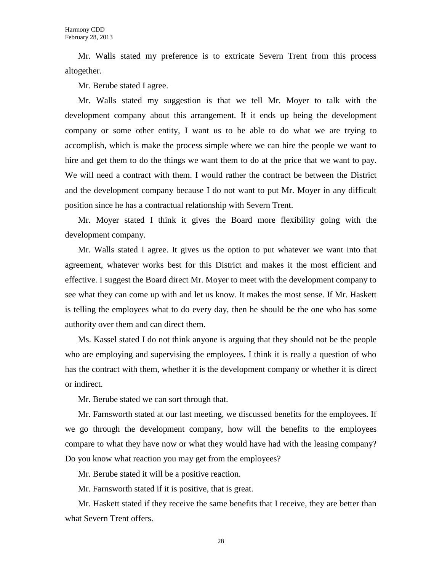Mr. Walls stated my preference is to extricate Severn Trent from this process altogether.

Mr. Berube stated I agree.

Mr. Walls stated my suggestion is that we tell Mr. Moyer to talk with the development company about this arrangement. If it ends up being the development company or some other entity, I want us to be able to do what we are trying to accomplish, which is make the process simple where we can hire the people we want to hire and get them to do the things we want them to do at the price that we want to pay. We will need a contract with them. I would rather the contract be between the District and the development company because I do not want to put Mr. Moyer in any difficult position since he has a contractual relationship with Severn Trent.

Mr. Moyer stated I think it gives the Board more flexibility going with the development company.

Mr. Walls stated I agree. It gives us the option to put whatever we want into that agreement, whatever works best for this District and makes it the most efficient and effective. I suggest the Board direct Mr. Moyer to meet with the development company to see what they can come up with and let us know. It makes the most sense. If Mr. Haskett is telling the employees what to do every day, then he should be the one who has some authority over them and can direct them.

Ms. Kassel stated I do not think anyone is arguing that they should not be the people who are employing and supervising the employees. I think it is really a question of who has the contract with them, whether it is the development company or whether it is direct or indirect.

Mr. Berube stated we can sort through that.

Mr. Farnsworth stated at our last meeting, we discussed benefits for the employees. If we go through the development company, how will the benefits to the employees compare to what they have now or what they would have had with the leasing company? Do you know what reaction you may get from the employees?

Mr. Berube stated it will be a positive reaction.

Mr. Farnsworth stated if it is positive, that is great.

Mr. Haskett stated if they receive the same benefits that I receive, they are better than what Severn Trent offers.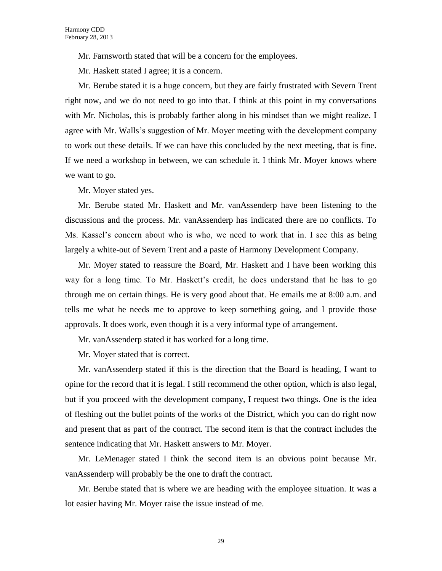Mr. Farnsworth stated that will be a concern for the employees.

Mr. Haskett stated I agree; it is a concern.

Mr. Berube stated it is a huge concern, but they are fairly frustrated with Severn Trent right now, and we do not need to go into that. I think at this point in my conversations with Mr. Nicholas, this is probably farther along in his mindset than we might realize. I agree with Mr. Walls's suggestion of Mr. Moyer meeting with the development company to work out these details. If we can have this concluded by the next meeting, that is fine. If we need a workshop in between, we can schedule it. I think Mr. Moyer knows where we want to go.

Mr. Moyer stated yes.

Mr. Berube stated Mr. Haskett and Mr. vanAssenderp have been listening to the discussions and the process. Mr. vanAssenderp has indicated there are no conflicts. To Ms. Kassel's concern about who is who, we need to work that in. I see this as being largely a white-out of Severn Trent and a paste of Harmony Development Company.

Mr. Moyer stated to reassure the Board, Mr. Haskett and I have been working this way for a long time. To Mr. Haskett's credit, he does understand that he has to go through me on certain things. He is very good about that. He emails me at 8:00 a.m. and tells me what he needs me to approve to keep something going, and I provide those approvals. It does work, even though it is a very informal type of arrangement.

Mr. vanAssenderp stated it has worked for a long time.

Mr. Moyer stated that is correct.

Mr. vanAssenderp stated if this is the direction that the Board is heading, I want to opine for the record that it is legal. I still recommend the other option, which is also legal, but if you proceed with the development company, I request two things. One is the idea of fleshing out the bullet points of the works of the District, which you can do right now and present that as part of the contract. The second item is that the contract includes the sentence indicating that Mr. Haskett answers to Mr. Moyer.

Mr. LeMenager stated I think the second item is an obvious point because Mr. vanAssenderp will probably be the one to draft the contract.

Mr. Berube stated that is where we are heading with the employee situation. It was a lot easier having Mr. Moyer raise the issue instead of me.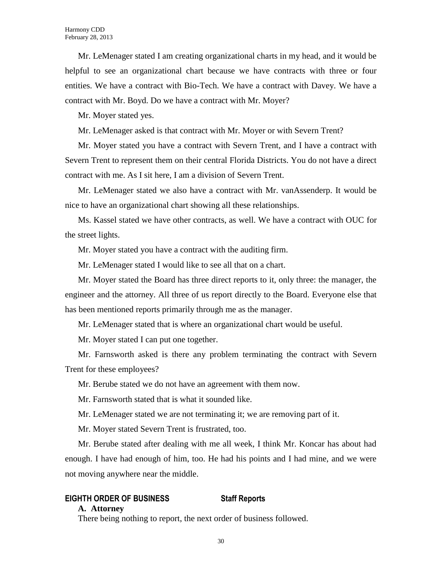Mr. LeMenager stated I am creating organizational charts in my head, and it would be helpful to see an organizational chart because we have contracts with three or four entities. We have a contract with Bio-Tech. We have a contract with Davey. We have a contract with Mr. Boyd. Do we have a contract with Mr. Moyer?

Mr. Moyer stated yes.

Mr. LeMenager asked is that contract with Mr. Moyer or with Severn Trent?

Mr. Moyer stated you have a contract with Severn Trent, and I have a contract with Severn Trent to represent them on their central Florida Districts. You do not have a direct contract with me. As I sit here, I am a division of Severn Trent.

Mr. LeMenager stated we also have a contract with Mr. vanAssenderp. It would be nice to have an organizational chart showing all these relationships.

Ms. Kassel stated we have other contracts, as well. We have a contract with OUC for the street lights.

Mr. Moyer stated you have a contract with the auditing firm.

Mr. LeMenager stated I would like to see all that on a chart.

Mr. Moyer stated the Board has three direct reports to it, only three: the manager, the engineer and the attorney. All three of us report directly to the Board. Everyone else that has been mentioned reports primarily through me as the manager.

Mr. LeMenager stated that is where an organizational chart would be useful.

Mr. Moyer stated I can put one together.

Mr. Farnsworth asked is there any problem terminating the contract with Severn Trent for these employees?

Mr. Berube stated we do not have an agreement with them now.

Mr. Farnsworth stated that is what it sounded like.

Mr. LeMenager stated we are not terminating it; we are removing part of it.

Mr. Moyer stated Severn Trent is frustrated, too.

Mr. Berube stated after dealing with me all week, I think Mr. Koncar has about had enough. I have had enough of him, too. He had his points and I had mine, and we were not moving anywhere near the middle.

# **EIGHTH ORDER OF BUSINESS Staff Reports**

#### **A. Attorney**

There being nothing to report, the next order of business followed.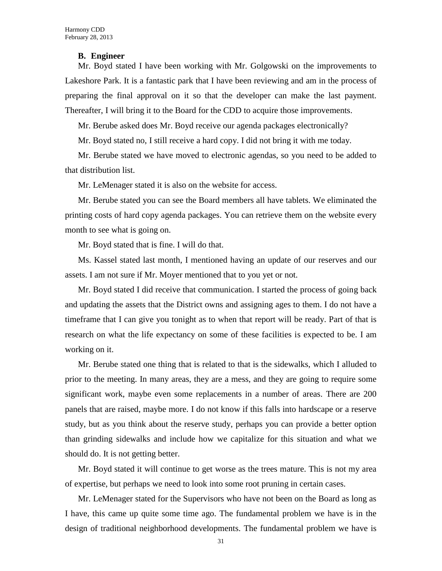#### **B. Engineer**

Mr. Boyd stated I have been working with Mr. Golgowski on the improvements to Lakeshore Park. It is a fantastic park that I have been reviewing and am in the process of preparing the final approval on it so that the developer can make the last payment. Thereafter, I will bring it to the Board for the CDD to acquire those improvements.

Mr. Berube asked does Mr. Boyd receive our agenda packages electronically?

Mr. Boyd stated no, I still receive a hard copy. I did not bring it with me today.

Mr. Berube stated we have moved to electronic agendas, so you need to be added to that distribution list.

Mr. LeMenager stated it is also on the website for access.

Mr. Berube stated you can see the Board members all have tablets. We eliminated the printing costs of hard copy agenda packages. You can retrieve them on the website every month to see what is going on.

Mr. Boyd stated that is fine. I will do that.

Ms. Kassel stated last month, I mentioned having an update of our reserves and our assets. I am not sure if Mr. Moyer mentioned that to you yet or not.

Mr. Boyd stated I did receive that communication. I started the process of going back and updating the assets that the District owns and assigning ages to them. I do not have a timeframe that I can give you tonight as to when that report will be ready. Part of that is research on what the life expectancy on some of these facilities is expected to be. I am working on it.

Mr. Berube stated one thing that is related to that is the sidewalks, which I alluded to prior to the meeting. In many areas, they are a mess, and they are going to require some significant work, maybe even some replacements in a number of areas. There are 200 panels that are raised, maybe more. I do not know if this falls into hardscape or a reserve study, but as you think about the reserve study, perhaps you can provide a better option than grinding sidewalks and include how we capitalize for this situation and what we should do. It is not getting better.

Mr. Boyd stated it will continue to get worse as the trees mature. This is not my area of expertise, but perhaps we need to look into some root pruning in certain cases.

Mr. LeMenager stated for the Supervisors who have not been on the Board as long as I have, this came up quite some time ago. The fundamental problem we have is in the design of traditional neighborhood developments. The fundamental problem we have is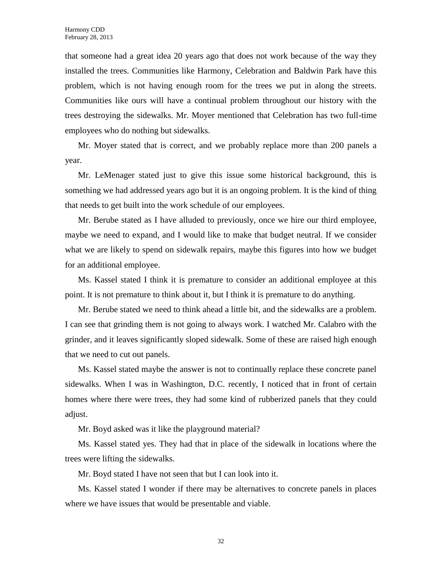that someone had a great idea 20 years ago that does not work because of the way they installed the trees. Communities like Harmony, Celebration and Baldwin Park have this problem, which is not having enough room for the trees we put in along the streets. Communities like ours will have a continual problem throughout our history with the trees destroying the sidewalks. Mr. Moyer mentioned that Celebration has two full-time employees who do nothing but sidewalks.

Mr. Moyer stated that is correct, and we probably replace more than 200 panels a year.

Mr. LeMenager stated just to give this issue some historical background, this is something we had addressed years ago but it is an ongoing problem. It is the kind of thing that needs to get built into the work schedule of our employees.

Mr. Berube stated as I have alluded to previously, once we hire our third employee, maybe we need to expand, and I would like to make that budget neutral. If we consider what we are likely to spend on sidewalk repairs, maybe this figures into how we budget for an additional employee.

Ms. Kassel stated I think it is premature to consider an additional employee at this point. It is not premature to think about it, but I think it is premature to do anything.

Mr. Berube stated we need to think ahead a little bit, and the sidewalks are a problem. I can see that grinding them is not going to always work. I watched Mr. Calabro with the grinder, and it leaves significantly sloped sidewalk. Some of these are raised high enough that we need to cut out panels.

Ms. Kassel stated maybe the answer is not to continually replace these concrete panel sidewalks. When I was in Washington, D.C. recently, I noticed that in front of certain homes where there were trees, they had some kind of rubberized panels that they could adjust.

Mr. Boyd asked was it like the playground material?

Ms. Kassel stated yes. They had that in place of the sidewalk in locations where the trees were lifting the sidewalks.

Mr. Boyd stated I have not seen that but I can look into it.

Ms. Kassel stated I wonder if there may be alternatives to concrete panels in places where we have issues that would be presentable and viable.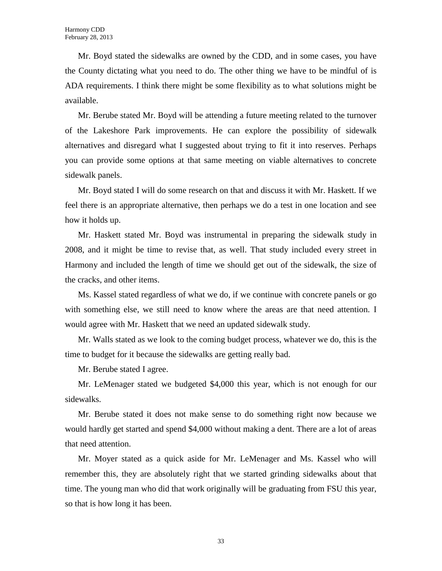Mr. Boyd stated the sidewalks are owned by the CDD, and in some cases, you have the County dictating what you need to do. The other thing we have to be mindful of is ADA requirements. I think there might be some flexibility as to what solutions might be available.

Mr. Berube stated Mr. Boyd will be attending a future meeting related to the turnover of the Lakeshore Park improvements. He can explore the possibility of sidewalk alternatives and disregard what I suggested about trying to fit it into reserves. Perhaps you can provide some options at that same meeting on viable alternatives to concrete sidewalk panels.

Mr. Boyd stated I will do some research on that and discuss it with Mr. Haskett. If we feel there is an appropriate alternative, then perhaps we do a test in one location and see how it holds up.

Mr. Haskett stated Mr. Boyd was instrumental in preparing the sidewalk study in 2008, and it might be time to revise that, as well. That study included every street in Harmony and included the length of time we should get out of the sidewalk, the size of the cracks, and other items.

Ms. Kassel stated regardless of what we do, if we continue with concrete panels or go with something else, we still need to know where the areas are that need attention. I would agree with Mr. Haskett that we need an updated sidewalk study.

Mr. Walls stated as we look to the coming budget process, whatever we do, this is the time to budget for it because the sidewalks are getting really bad.

Mr. Berube stated I agree.

Mr. LeMenager stated we budgeted \$4,000 this year, which is not enough for our sidewalks.

Mr. Berube stated it does not make sense to do something right now because we would hardly get started and spend \$4,000 without making a dent. There are a lot of areas that need attention.

Mr. Moyer stated as a quick aside for Mr. LeMenager and Ms. Kassel who will remember this, they are absolutely right that we started grinding sidewalks about that time. The young man who did that work originally will be graduating from FSU this year, so that is how long it has been.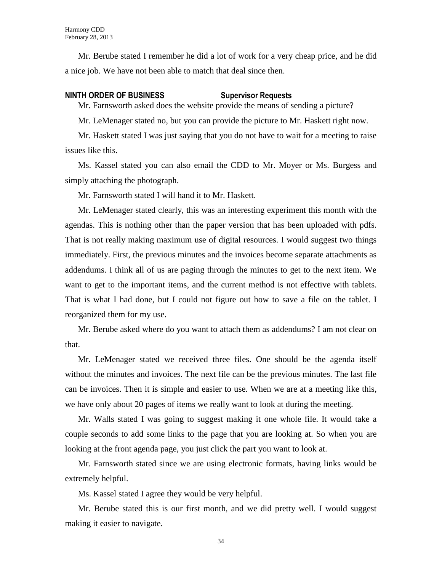Mr. Berube stated I remember he did a lot of work for a very cheap price, and he did a nice job. We have not been able to match that deal since then.

#### **NINTH ORDER OF BUSINESS Supervisor Requests**

Mr. Farnsworth asked does the website provide the means of sending a picture?

Mr. LeMenager stated no, but you can provide the picture to Mr. Haskett right now.

Mr. Haskett stated I was just saying that you do not have to wait for a meeting to raise issues like this.

Ms. Kassel stated you can also email the CDD to Mr. Moyer or Ms. Burgess and simply attaching the photograph.

Mr. Farnsworth stated I will hand it to Mr. Haskett.

Mr. LeMenager stated clearly, this was an interesting experiment this month with the agendas. This is nothing other than the paper version that has been uploaded with pdfs. That is not really making maximum use of digital resources. I would suggest two things immediately. First, the previous minutes and the invoices become separate attachments as addendums. I think all of us are paging through the minutes to get to the next item. We want to get to the important items, and the current method is not effective with tablets. That is what I had done, but I could not figure out how to save a file on the tablet. I reorganized them for my use.

Mr. Berube asked where do you want to attach them as addendums? I am not clear on that.

Mr. LeMenager stated we received three files. One should be the agenda itself without the minutes and invoices. The next file can be the previous minutes. The last file can be invoices. Then it is simple and easier to use. When we are at a meeting like this, we have only about 20 pages of items we really want to look at during the meeting.

Mr. Walls stated I was going to suggest making it one whole file. It would take a couple seconds to add some links to the page that you are looking at. So when you are looking at the front agenda page, you just click the part you want to look at.

Mr. Farnsworth stated since we are using electronic formats, having links would be extremely helpful.

Ms. Kassel stated I agree they would be very helpful.

Mr. Berube stated this is our first month, and we did pretty well. I would suggest making it easier to navigate.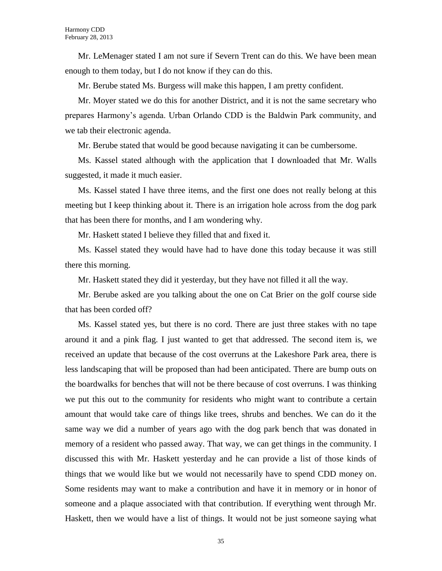Mr. LeMenager stated I am not sure if Severn Trent can do this. We have been mean enough to them today, but I do not know if they can do this.

Mr. Berube stated Ms. Burgess will make this happen, I am pretty confident.

Mr. Moyer stated we do this for another District, and it is not the same secretary who prepares Harmony's agenda. Urban Orlando CDD is the Baldwin Park community, and we tab their electronic agenda.

Mr. Berube stated that would be good because navigating it can be cumbersome.

Ms. Kassel stated although with the application that I downloaded that Mr. Walls suggested, it made it much easier.

Ms. Kassel stated I have three items, and the first one does not really belong at this meeting but I keep thinking about it. There is an irrigation hole across from the dog park that has been there for months, and I am wondering why.

Mr. Haskett stated I believe they filled that and fixed it.

Ms. Kassel stated they would have had to have done this today because it was still there this morning.

Mr. Haskett stated they did it yesterday, but they have not filled it all the way.

Mr. Berube asked are you talking about the one on Cat Brier on the golf course side that has been corded off?

Ms. Kassel stated yes, but there is no cord. There are just three stakes with no tape around it and a pink flag. I just wanted to get that addressed. The second item is, we received an update that because of the cost overruns at the Lakeshore Park area, there is less landscaping that will be proposed than had been anticipated. There are bump outs on the boardwalks for benches that will not be there because of cost overruns. I was thinking we put this out to the community for residents who might want to contribute a certain amount that would take care of things like trees, shrubs and benches. We can do it the same way we did a number of years ago with the dog park bench that was donated in memory of a resident who passed away. That way, we can get things in the community. I discussed this with Mr. Haskett yesterday and he can provide a list of those kinds of things that we would like but we would not necessarily have to spend CDD money on. Some residents may want to make a contribution and have it in memory or in honor of someone and a plaque associated with that contribution. If everything went through Mr. Haskett, then we would have a list of things. It would not be just someone saying what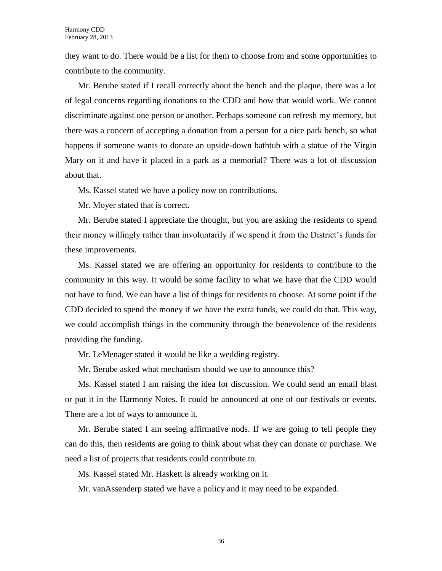they want to do. There would be a list for them to choose from and some opportunities to contribute to the community.

Mr. Berube stated if I recall correctly about the bench and the plaque, there was a lot of legal concerns regarding donations to the CDD and how that would work. We cannot discriminate against one person or another. Perhaps someone can refresh my memory, but there was a concern of accepting a donation from a person for a nice park bench, so what happens if someone wants to donate an upside-down bathtub with a statue of the Virgin Mary on it and have it placed in a park as a memorial? There was a lot of discussion about that.

Ms. Kassel stated we have a policy now on contributions.

Mr. Moyer stated that is correct.

Mr. Berube stated I appreciate the thought, but you are asking the residents to spend their money willingly rather than involuntarily if we spend it from the District's funds for these improvements.

Ms. Kassel stated we are offering an opportunity for residents to contribute to the community in this way. It would be some facility to what we have that the CDD would not have to fund. We can have a list of things for residents to choose. At some point if the CDD decided to spend the money if we have the extra funds, we could do that. This way, we could accomplish things in the community through the benevolence of the residents providing the funding.

Mr. LeMenager stated it would be like a wedding registry.

Mr. Berube asked what mechanism should we use to announce this?

Ms. Kassel stated I am raising the idea for discussion. We could send an email blast or put it in the Harmony Notes. It could be announced at one of our festivals or events. There are a lot of ways to announce it.

Mr. Berube stated I am seeing affirmative nods. If we are going to tell people they can do this, then residents are going to think about what they can donate or purchase. We need a list of projects that residents could contribute to.

Ms. Kassel stated Mr. Haskett is already working on it.

Mr. vanAssenderp stated we have a policy and it may need to be expanded.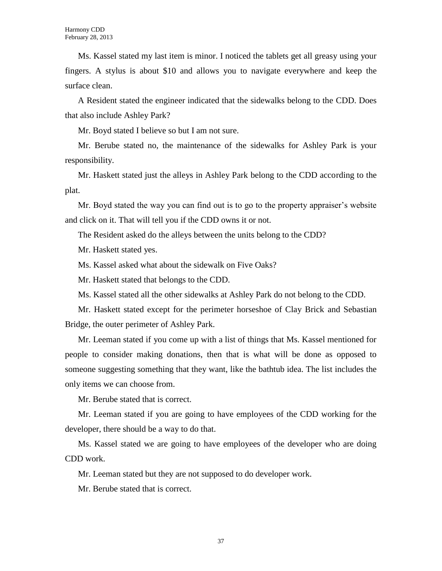Ms. Kassel stated my last item is minor. I noticed the tablets get all greasy using your fingers. A stylus is about \$10 and allows you to navigate everywhere and keep the surface clean.

A Resident stated the engineer indicated that the sidewalks belong to the CDD. Does that also include Ashley Park?

Mr. Boyd stated I believe so but I am not sure.

Mr. Berube stated no, the maintenance of the sidewalks for Ashley Park is your responsibility.

Mr. Haskett stated just the alleys in Ashley Park belong to the CDD according to the plat.

Mr. Boyd stated the way you can find out is to go to the property appraiser's website and click on it. That will tell you if the CDD owns it or not.

The Resident asked do the alleys between the units belong to the CDD?

Mr. Haskett stated yes.

Ms. Kassel asked what about the sidewalk on Five Oaks?

Mr. Haskett stated that belongs to the CDD.

Ms. Kassel stated all the other sidewalks at Ashley Park do not belong to the CDD.

Mr. Haskett stated except for the perimeter horseshoe of Clay Brick and Sebastian Bridge, the outer perimeter of Ashley Park.

Mr. Leeman stated if you come up with a list of things that Ms. Kassel mentioned for people to consider making donations, then that is what will be done as opposed to someone suggesting something that they want, like the bathtub idea. The list includes the only items we can choose from.

Mr. Berube stated that is correct.

Mr. Leeman stated if you are going to have employees of the CDD working for the developer, there should be a way to do that.

Ms. Kassel stated we are going to have employees of the developer who are doing CDD work.

Mr. Leeman stated but they are not supposed to do developer work.

Mr. Berube stated that is correct.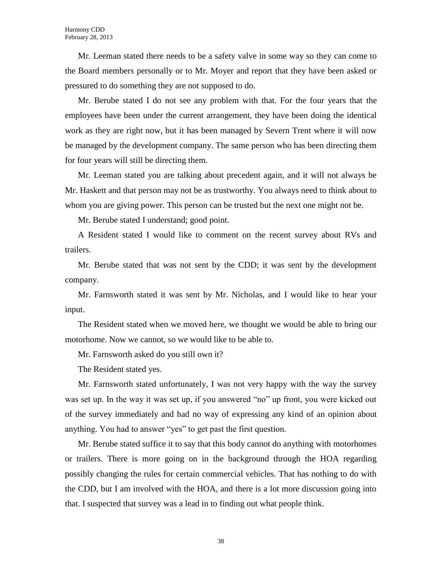Mr. Leeman stated there needs to be a safety valve in some way so they can come to the Board members personally or to Mr. Moyer and report that they have been asked or pressured to do something they are not supposed to do.

Mr. Berube stated I do not see any problem with that. For the four years that the employees have been under the current arrangement, they have been doing the identical work as they are right now, but it has been managed by Severn Trent where it will now be managed by the development company. The same person who has been directing them for four years will still be directing them.

Mr. Leeman stated you are talking about precedent again, and it will not always be Mr. Haskett and that person may not be as trustworthy. You always need to think about to whom you are giving power. This person can be trusted but the next one might not be.

Mr. Berube stated I understand; good point.

A Resident stated I would like to comment on the recent survey about RVs and trailers.

Mr. Berube stated that was not sent by the CDD; it was sent by the development company.

Mr. Farnsworth stated it was sent by Mr. Nicholas, and I would like to hear your input.

The Resident stated when we moved here, we thought we would be able to bring our motorhome. Now we cannot, so we would like to be able to.

Mr. Farnsworth asked do you still own it?

The Resident stated yes.

Mr. Farnsworth stated unfortunately, I was not very happy with the way the survey was set up. In the way it was set up, if you answered "no" up front, you were kicked out of the survey immediately and had no way of expressing any kind of an opinion about anything. You had to answer "yes" to get past the first question.

Mr. Berube stated suffice it to say that this body cannot do anything with motorhomes or trailers. There is more going on in the background through the HOA regarding possibly changing the rules for certain commercial vehicles. That has nothing to do with the CDD, but I am involved with the HOA, and there is a lot more discussion going into that. I suspected that survey was a lead in to finding out what people think.